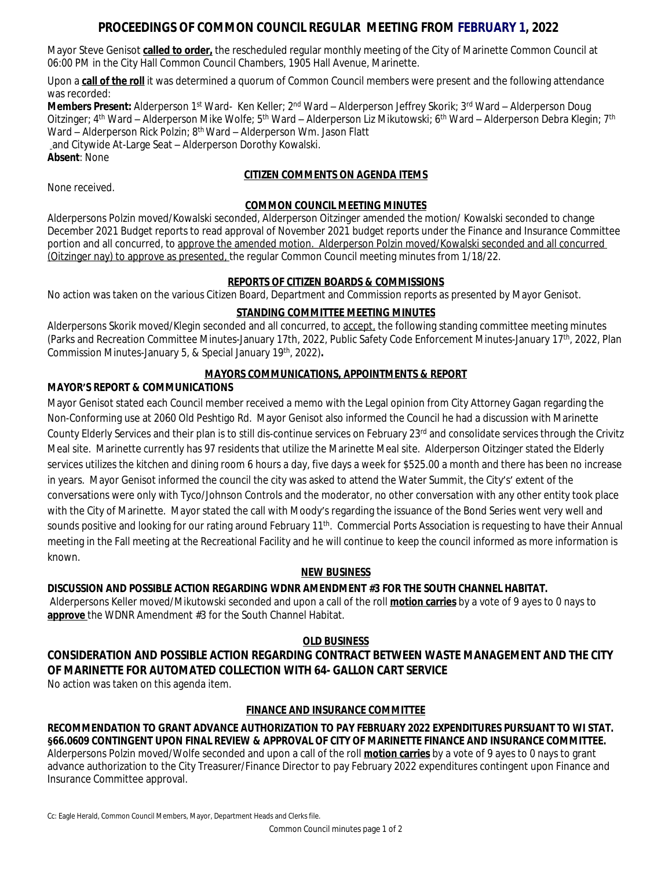# **PROCEEDINGS OF COMMON COUNCIL REGULAR MEETING FROM FEBRUARY 1, 2022**

Mayor Steve Genisot **called to order,** the rescheduled regular monthly meeting of the City of Marinette Common Council at 06:00 PM in the City Hall Common Council Chambers, 1905 Hall Avenue, Marinette.

Upon a **call of the roll** it was determined a quorum of Common Council members were present and the following attendance was recorded:

**Members Present:** Alderperson 1<sup>st</sup> Ward- Ken Keller; 2<sup>nd</sup> Ward – Alderperson Jeffrey Skorik; 3<sup>rd</sup> Ward – Alderperson Doug Oitzinger; 4<sup>th</sup> Ward – Alderperson Mike Wolfe; 5<sup>th</sup> Ward – Alderperson Liz Mikutowski; 6<sup>th</sup> Ward – Alderperson Debra Klegin; 7<sup>th</sup> Ward – Alderperson Rick Polzin; 8<sup>th</sup> Ward – Alderperson Wm. Jason Flatt and Citywide At-Large Seat – Alderperson Dorothy Kowalski. **Absent**: None

# **CITIZEN COMMENTS ON AGENDA ITEMS**

None received.

## **COMMON COUNCIL MEETING MINUTES**

Alderpersons Polzin moved/Kowalski seconded, Alderperson Oitzinger amended the motion/ Kowalski seconded to change December 2021 Budget reports to read approval of November 2021 budget reports under the Finance and Insurance Committee portion and all concurred, to approve the amended motion. Alderperson Polzin moved/Kowalski seconded and all concurred (Oitzinger nay) to approve as presented, the regular Common Council meeting minutes from 1/18/22.

## **REPORTS OF CITIZEN BOARDS & COMMISSIONS**

No action was taken on the various Citizen Board, Department and Commission reports as presented by Mayor Genisot.

## **STANDING COMMITTEE MEETING MINUTES**

Alderpersons Skorik moved/Klegin seconded and all concurred, to accept, the following standing committee meeting minutes (Parks and Recreation Committee Minutes-January 17th, 2022, Public Safety Code Enforcement Minutes-January 17th, 2022, Plan Commission Minutes-January 5, & Special January 19th, 2022)**.**

# **MAYORS COMMUNICATIONS, APPOINTMENTS & REPORT**

## **MAYOR'S REPORT & COMMUNICATIONS**

Mayor Genisot stated each Council member received a memo with the Legal opinion from City Attorney Gagan regarding the Non-Conforming use at 2060 Old Peshtigo Rd. Mayor Genisot also informed the Council he had a discussion with Marinette County Elderly Services and their plan is to still dis-continue services on February 23<sup>rd</sup> and consolidate services through the Crivitz Meal site. Marinette currently has 97 residents that utilize the Marinette Meal site. Alderperson Oitzinger stated the Elderly services utilizes the kitchen and dining room 6 hours a day, five days a week for \$525.00 a month and there has been no increase in years. Mayor Genisot informed the council the city was asked to attend the Water Summit, the City's' extent of the conversations were only with Tyco/Johnson Controls and the moderator, no other conversation with any other entity took place with the City of Marinette. Mayor stated the call with Moody's regarding the issuance of the Bond Series went very well and sounds positive and looking for our rating around February 11<sup>th</sup>. Commercial Ports Association is requesting to have their Annual meeting in the Fall meeting at the Recreational Facility and he will continue to keep the council informed as more information is known.

## **NEW BUSINESS**

## **DISCUSSION AND POSSIBLE ACTION REGARDING WDNR AMENDMENT #3 FOR THE SOUTH CHANNEL HABITAT.**

Alderpersons Keller moved/Mikutowski seconded and upon a call of the roll **motion carries** by a vote of 9 ayes to 0 nays to **approve** the WDNR Amendment #3 for the South Channel Habitat.

## **OLD BUSINESS**

# **CONSIDERATION AND POSSIBLE ACTION REGARDING CONTRACT BETWEEN WASTE MANAGEMENT AND THE CITY OF MARINETTE FOR AUTOMATED COLLECTION WITH 64- GALLON CART SERVICE**

No action was taken on this agenda item.

## **FINANCE AND INSURANCE COMMITTEE**

**RECOMMENDATION TO GRANT ADVANCE AUTHORIZATION TO PAY FEBRUARY 2022 EXPENDITURES PURSUANT TO WI STAT. §66.0609 CONTINGENT UPON FINAL REVIEW & APPROVAL OF CITY OF MARINETTE FINANCE AND INSURANCE COMMITTEE.** Alderpersons Polzin moved/Wolfe seconded and upon a call of the roll **motion carries** by a vote of 9 ayes to 0 nays to grant advance authorization to the City Treasurer/Finance Director to pay February 2022 expenditures contingent upon Finance and Insurance Committee approval.